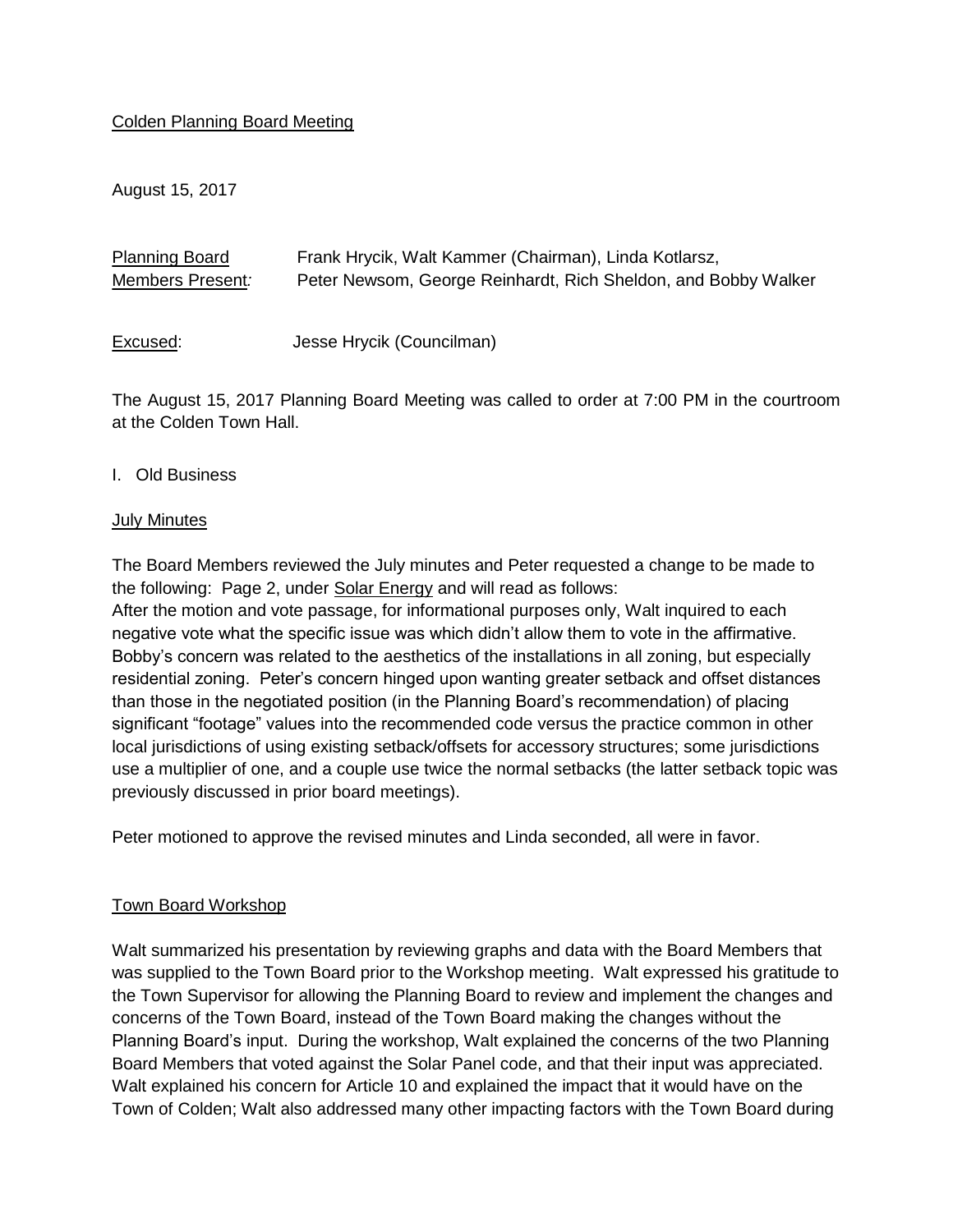### Colden Planning Board Meeting

August 15, 2017

| <b>Planning Board</b> | Frank Hrycik, Walt Kammer (Chairman), Linda Kotlarsz,          |
|-----------------------|----------------------------------------------------------------|
| Members Present:      | Peter Newsom, George Reinhardt, Rich Sheldon, and Bobby Walker |
|                       |                                                                |

Excused: Jesse Hrycik (Councilman)

The August 15, 2017 Planning Board Meeting was called to order at 7:00 PM in the courtroom at the Colden Town Hall.

### I. Old Business

#### July Minutes

The Board Members reviewed the July minutes and Peter requested a change to be made to the following: Page 2, under Solar Energy and will read as follows: After the motion and vote passage, for informational purposes only, Walt inquired to each negative vote what the specific issue was which didn't allow them to vote in the affirmative. Bobby's concern was related to the aesthetics of the installations in all zoning, but especially residential zoning. Peter's concern hinged upon wanting greater setback and offset distances than those in the negotiated position (in the Planning Board's recommendation) of placing significant "footage" values into the recommended code versus the practice common in other local jurisdictions of using existing setback/offsets for accessory structures; some jurisdictions use a multiplier of one, and a couple use twice the normal setbacks (the latter setback topic was previously discussed in prior board meetings).

Peter motioned to approve the revised minutes and Linda seconded, all were in favor.

### Town Board Workshop

Walt summarized his presentation by reviewing graphs and data with the Board Members that was supplied to the Town Board prior to the Workshop meeting. Walt expressed his gratitude to the Town Supervisor for allowing the Planning Board to review and implement the changes and concerns of the Town Board, instead of the Town Board making the changes without the Planning Board's input. During the workshop, Walt explained the concerns of the two Planning Board Members that voted against the Solar Panel code, and that their input was appreciated. Walt explained his concern for Article 10 and explained the impact that it would have on the Town of Colden; Walt also addressed many other impacting factors with the Town Board during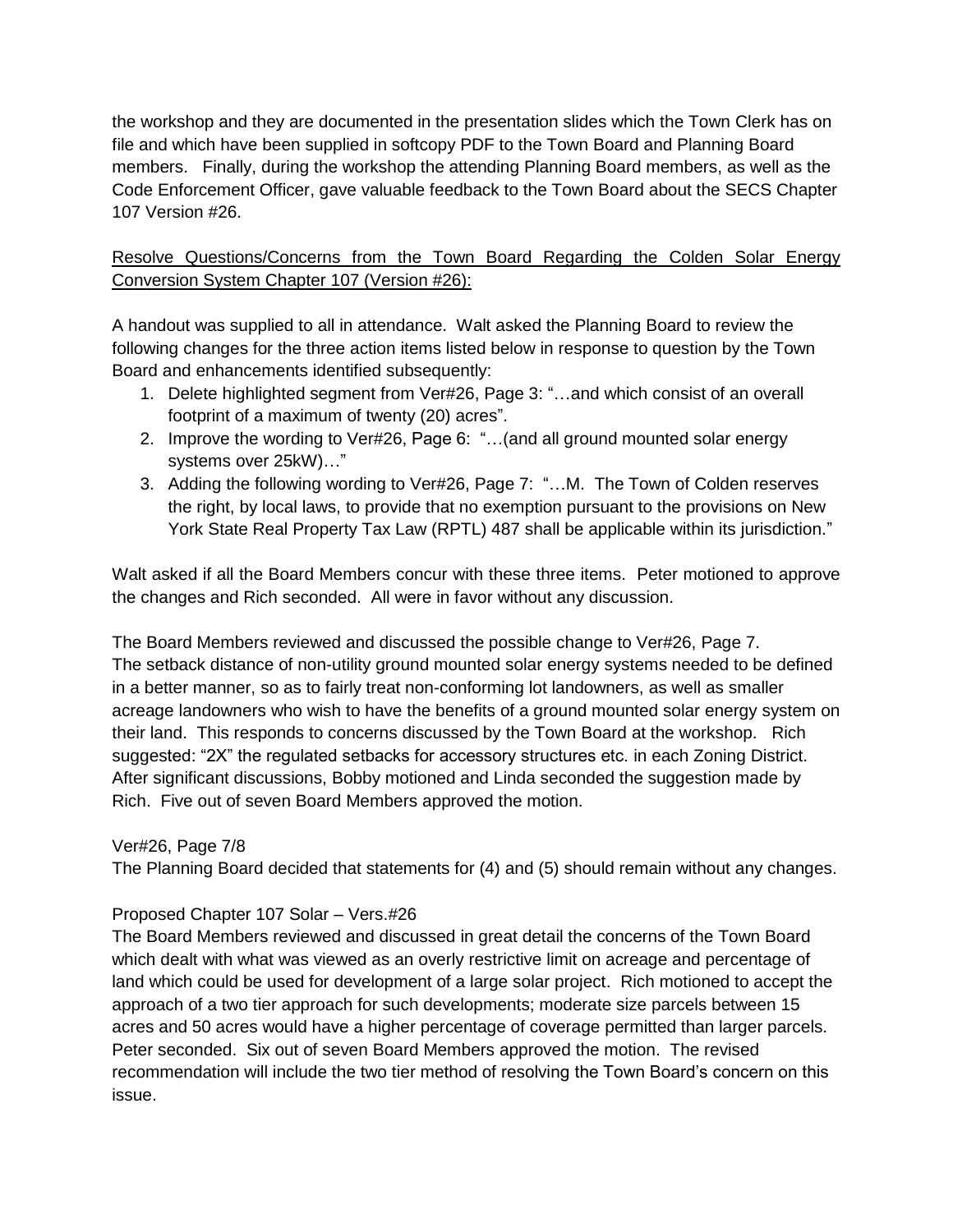the workshop and they are documented in the presentation slides which the Town Clerk has on file and which have been supplied in softcopy PDF to the Town Board and Planning Board members. Finally, during the workshop the attending Planning Board members, as well as the Code Enforcement Officer, gave valuable feedback to the Town Board about the SECS Chapter 107 Version #26.

Resolve Questions/Concerns from the Town Board Regarding the Colden Solar Energy Conversion System Chapter 107 (Version #26):

A handout was supplied to all in attendance. Walt asked the Planning Board to review the following changes for the three action items listed below in response to question by the Town Board and enhancements identified subsequently:

- 1. Delete highlighted segment from Ver#26, Page 3: "…and which consist of an overall footprint of a maximum of twenty (20) acres".
- 2. Improve the wording to Ver#26, Page 6: "…(and all ground mounted solar energy systems over 25kW)…"
- 3. Adding the following wording to Ver#26, Page 7: "…M. The Town of Colden reserves the right, by local laws, to provide that no exemption pursuant to the provisions on New York State Real Property Tax Law (RPTL) 487 shall be applicable within its jurisdiction."

Walt asked if all the Board Members concur with these three items. Peter motioned to approve the changes and Rich seconded. All were in favor without any discussion.

The Board Members reviewed and discussed the possible change to Ver#26, Page 7. The setback distance of non-utility ground mounted solar energy systems needed to be defined in a better manner, so as to fairly treat non-conforming lot landowners, as well as smaller acreage landowners who wish to have the benefits of a ground mounted solar energy system on their land. This responds to concerns discussed by the Town Board at the workshop. Rich suggested: "2X" the regulated setbacks for accessory structures etc. in each Zoning District. After significant discussions, Bobby motioned and Linda seconded the suggestion made by Rich. Five out of seven Board Members approved the motion.

## Ver#26, Page 7/8

The Planning Board decided that statements for (4) and (5) should remain without any changes.

## Proposed Chapter 107 Solar – Vers.#26

The Board Members reviewed and discussed in great detail the concerns of the Town Board which dealt with what was viewed as an overly restrictive limit on acreage and percentage of land which could be used for development of a large solar project. Rich motioned to accept the approach of a two tier approach for such developments; moderate size parcels between 15 acres and 50 acres would have a higher percentage of coverage permitted than larger parcels. Peter seconded. Six out of seven Board Members approved the motion. The revised recommendation will include the two tier method of resolving the Town Board's concern on this issue.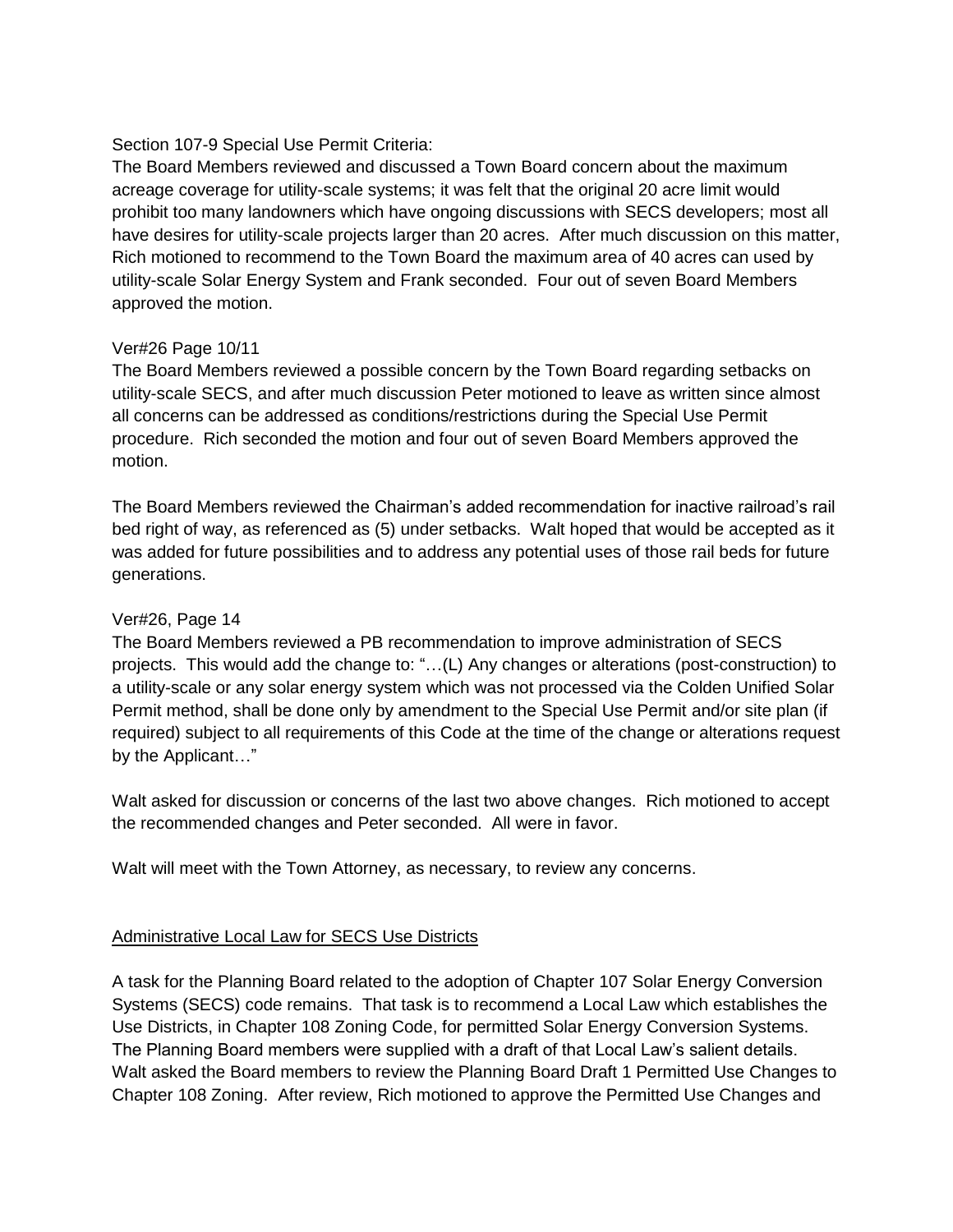### Section 107-9 Special Use Permit Criteria:

The Board Members reviewed and discussed a Town Board concern about the maximum acreage coverage for utility-scale systems; it was felt that the original 20 acre limit would prohibit too many landowners which have ongoing discussions with SECS developers; most all have desires for utility-scale projects larger than 20 acres. After much discussion on this matter, Rich motioned to recommend to the Town Board the maximum area of 40 acres can used by utility-scale Solar Energy System and Frank seconded. Four out of seven Board Members approved the motion.

### Ver#26 Page 10/11

The Board Members reviewed a possible concern by the Town Board regarding setbacks on utility-scale SECS, and after much discussion Peter motioned to leave as written since almost all concerns can be addressed as conditions/restrictions during the Special Use Permit procedure. Rich seconded the motion and four out of seven Board Members approved the motion.

The Board Members reviewed the Chairman's added recommendation for inactive railroad's rail bed right of way, as referenced as (5) under setbacks. Walt hoped that would be accepted as it was added for future possibilities and to address any potential uses of those rail beds for future generations.

### Ver#26, Page 14

The Board Members reviewed a PB recommendation to improve administration of SECS projects. This would add the change to: "…(L) Any changes or alterations (post-construction) to a utility-scale or any solar energy system which was not processed via the Colden Unified Solar Permit method, shall be done only by amendment to the Special Use Permit and/or site plan (if required) subject to all requirements of this Code at the time of the change or alterations request by the Applicant…"

Walt asked for discussion or concerns of the last two above changes. Rich motioned to accept the recommended changes and Peter seconded. All were in favor.

Walt will meet with the Town Attorney, as necessary, to review any concerns.

## Administrative Local Law for SECS Use Districts

A task for the Planning Board related to the adoption of Chapter 107 Solar Energy Conversion Systems (SECS) code remains. That task is to recommend a Local Law which establishes the Use Districts, in Chapter 108 Zoning Code, for permitted Solar Energy Conversion Systems. The Planning Board members were supplied with a draft of that Local Law's salient details. Walt asked the Board members to review the Planning Board Draft 1 Permitted Use Changes to Chapter 108 Zoning. After review, Rich motioned to approve the Permitted Use Changes and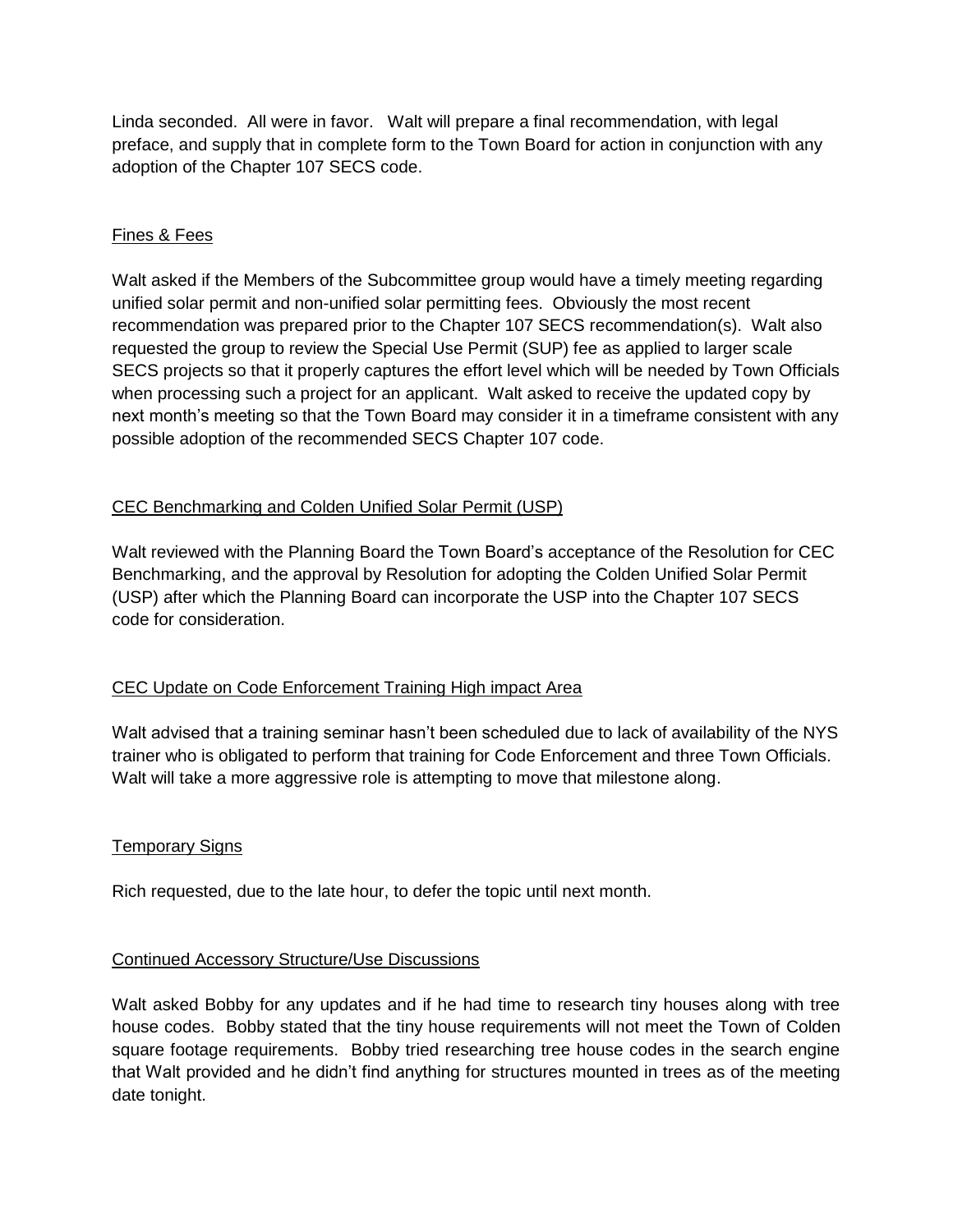Linda seconded. All were in favor. Walt will prepare a final recommendation, with legal preface, and supply that in complete form to the Town Board for action in conjunction with any adoption of the Chapter 107 SECS code.

## Fines & Fees

Walt asked if the Members of the Subcommittee group would have a timely meeting regarding unified solar permit and non-unified solar permitting fees. Obviously the most recent recommendation was prepared prior to the Chapter 107 SECS recommendation(s). Walt also requested the group to review the Special Use Permit (SUP) fee as applied to larger scale SECS projects so that it properly captures the effort level which will be needed by Town Officials when processing such a project for an applicant. Walt asked to receive the updated copy by next month's meeting so that the Town Board may consider it in a timeframe consistent with any possible adoption of the recommended SECS Chapter 107 code.

## CEC Benchmarking and Colden Unified Solar Permit (USP)

Walt reviewed with the Planning Board the Town Board's acceptance of the Resolution for CEC Benchmarking, and the approval by Resolution for adopting the Colden Unified Solar Permit (USP) after which the Planning Board can incorporate the USP into the Chapter 107 SECS code for consideration.

## CEC Update on Code Enforcement Training High impact Area

Walt advised that a training seminar hasn't been scheduled due to lack of availability of the NYS trainer who is obligated to perform that training for Code Enforcement and three Town Officials. Walt will take a more aggressive role is attempting to move that milestone along.

### Temporary Signs

Rich requested, due to the late hour, to defer the topic until next month.

### Continued Accessory Structure/Use Discussions

Walt asked Bobby for any updates and if he had time to research tiny houses along with tree house codes. Bobby stated that the tiny house requirements will not meet the Town of Colden square footage requirements. Bobby tried researching tree house codes in the search engine that Walt provided and he didn't find anything for structures mounted in trees as of the meeting date tonight.